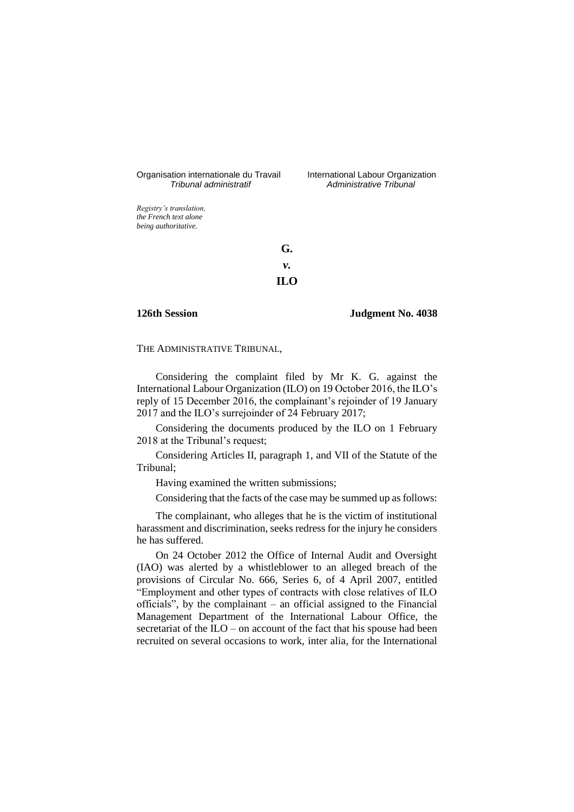# Organisation internationale du Travail International Labour Organization<br>*Tribunal administratif Administrative Tribunal*

*Tribunal administratif Administrative Tribunal*

*Registry's translation, the French text alone being authoritative.*

> **G.** *v.* **ILO**

# **126th Session Judgment No. 4038**

THE ADMINISTRATIVE TRIBUNAL,

Considering the complaint filed by Mr K. G. against the International Labour Organization (ILO) on 19 October 2016, the ILO's reply of 15 December 2016, the complainant's rejoinder of 19 January 2017 and the ILO's surrejoinder of 24 February 2017;

Considering the documents produced by the ILO on 1 February 2018 at the Tribunal's request;

Considering Articles II, paragraph 1, and VII of the Statute of the Tribunal;

Having examined the written submissions;

Considering that the facts of the case may be summed up as follows:

The complainant, who alleges that he is the victim of institutional harassment and discrimination, seeks redress for the injury he considers he has suffered.

On 24 October 2012 the Office of Internal Audit and Oversight (IAO) was alerted by a whistleblower to an alleged breach of the provisions of Circular No. 666, Series 6, of 4 April 2007, entitled "Employment and other types of contracts with close relatives of ILO officials", by the complainant – an official assigned to the Financial Management Department of the International Labour Office, the secretariat of the ILO – on account of the fact that his spouse had been recruited on several occasions to work, inter alia, for the International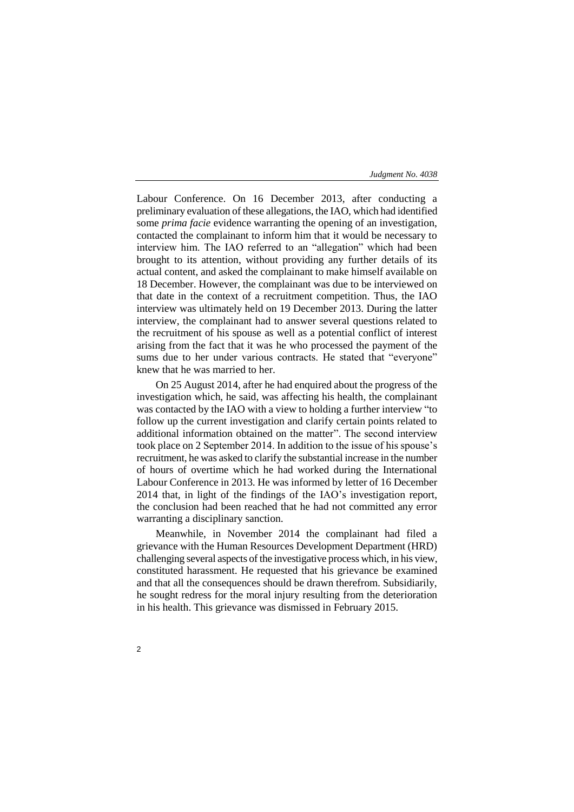Labour Conference. On 16 December 2013, after conducting a preliminary evaluation of these allegations, the IAO, which had identified some *prima facie* evidence warranting the opening of an investigation, contacted the complainant to inform him that it would be necessary to interview him. The IAO referred to an "allegation" which had been brought to its attention, without providing any further details of its actual content, and asked the complainant to make himself available on 18 December. However, the complainant was due to be interviewed on that date in the context of a recruitment competition. Thus, the IAO interview was ultimately held on 19 December 2013. During the latter interview, the complainant had to answer several questions related to the recruitment of his spouse as well as a potential conflict of interest arising from the fact that it was he who processed the payment of the sums due to her under various contracts. He stated that "everyone" knew that he was married to her.

On 25 August 2014, after he had enquired about the progress of the investigation which, he said, was affecting his health, the complainant was contacted by the IAO with a view to holding a further interview "to follow up the current investigation and clarify certain points related to additional information obtained on the matter". The second interview took place on 2 September 2014. In addition to the issue of his spouse's recruitment, he was asked to clarify the substantial increase in the number of hours of overtime which he had worked during the International Labour Conference in 2013. He was informed by letter of 16 December 2014 that, in light of the findings of the IAO's investigation report, the conclusion had been reached that he had not committed any error warranting a disciplinary sanction.

Meanwhile, in November 2014 the complainant had filed a grievance with the Human Resources Development Department (HRD) challenging several aspects of the investigative process which, in his view, constituted harassment. He requested that his grievance be examined and that all the consequences should be drawn therefrom. Subsidiarily, he sought redress for the moral injury resulting from the deterioration in his health. This grievance was dismissed in February 2015.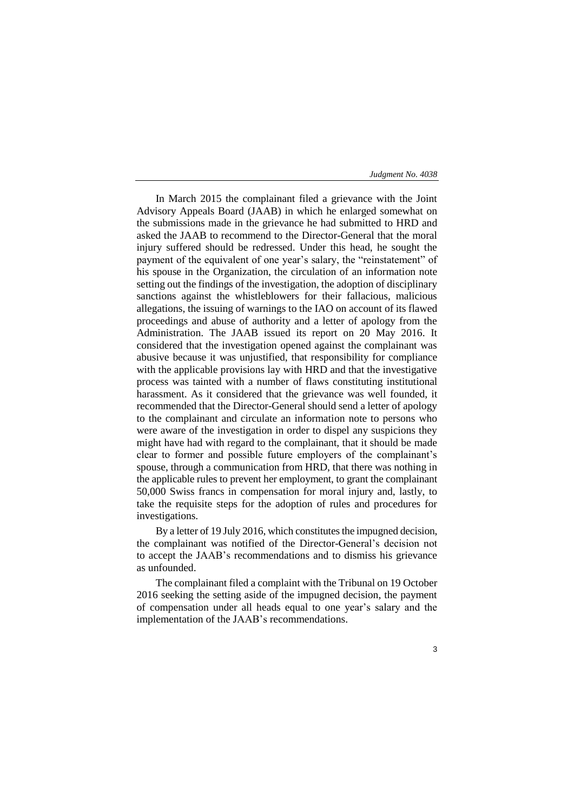In March 2015 the complainant filed a grievance with the Joint Advisory Appeals Board (JAAB) in which he enlarged somewhat on the submissions made in the grievance he had submitted to HRD and asked the JAAB to recommend to the Director-General that the moral injury suffered should be redressed. Under this head, he sought the payment of the equivalent of one year's salary, the "reinstatement" of his spouse in the Organization, the circulation of an information note setting out the findings of the investigation, the adoption of disciplinary sanctions against the whistleblowers for their fallacious, malicious allegations, the issuing of warnings to the IAO on account of its flawed proceedings and abuse of authority and a letter of apology from the Administration. The JAAB issued its report on 20 May 2016. It considered that the investigation opened against the complainant was abusive because it was unjustified, that responsibility for compliance with the applicable provisions lay with HRD and that the investigative process was tainted with a number of flaws constituting institutional harassment. As it considered that the grievance was well founded, it recommended that the Director-General should send a letter of apology to the complainant and circulate an information note to persons who were aware of the investigation in order to dispel any suspicions they might have had with regard to the complainant, that it should be made clear to former and possible future employers of the complainant's spouse, through a communication from HRD, that there was nothing in the applicable rules to prevent her employment, to grant the complainant 50,000 Swiss francs in compensation for moral injury and, lastly, to take the requisite steps for the adoption of rules and procedures for investigations.

By a letter of 19 July 2016, which constitutes the impugned decision, the complainant was notified of the Director-General's decision not to accept the JAAB's recommendations and to dismiss his grievance as unfounded.

The complainant filed a complaint with the Tribunal on 19 October 2016 seeking the setting aside of the impugned decision, the payment of compensation under all heads equal to one year's salary and the implementation of the JAAB's recommendations.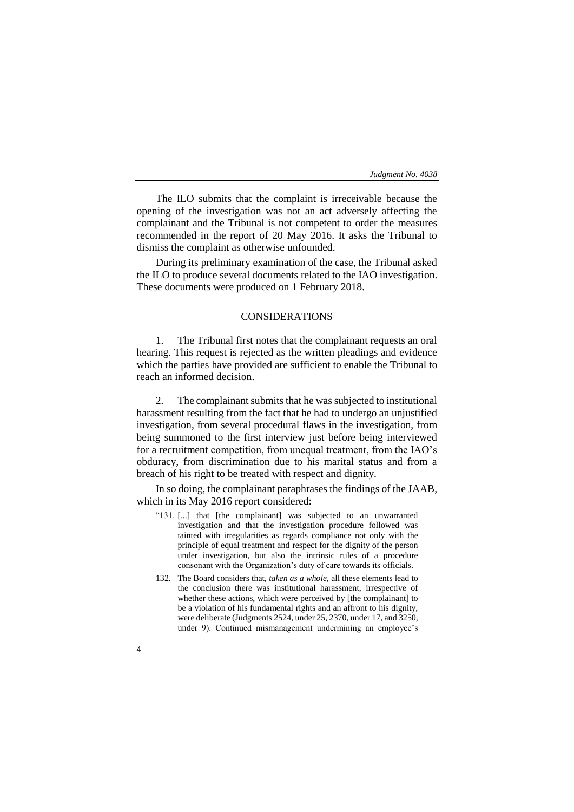The ILO submits that the complaint is irreceivable because the opening of the investigation was not an act adversely affecting the complainant and the Tribunal is not competent to order the measures recommended in the report of 20 May 2016. It asks the Tribunal to dismiss the complaint as otherwise unfounded.

During its preliminary examination of the case, the Tribunal asked the ILO to produce several documents related to the IAO investigation. These documents were produced on 1 February 2018.

# CONSIDERATIONS

1. The Tribunal first notes that the complainant requests an oral hearing. This request is rejected as the written pleadings and evidence which the parties have provided are sufficient to enable the Tribunal to reach an informed decision.

2. The complainant submits that he was subjected to institutional harassment resulting from the fact that he had to undergo an unjustified investigation, from several procedural flaws in the investigation, from being summoned to the first interview just before being interviewed for a recruitment competition, from unequal treatment, from the IAO's obduracy, from discrimination due to his marital status and from a breach of his right to be treated with respect and dignity.

In so doing, the complainant paraphrases the findings of the JAAB, which in its May 2016 report considered:

- "131. [...] that [the complainant] was subjected to an unwarranted investigation and that the investigation procedure followed was tainted with irregularities as regards compliance not only with the principle of equal treatment and respect for the dignity of the person under investigation, but also the intrinsic rules of a procedure consonant with the Organization's duty of care towards its officials.
- 132. The Board considers that, *taken as a whole*, all these elements lead to the conclusion there was institutional harassment, irrespective of whether these actions, which were perceived by [the complainant] to be a violation of his fundamental rights and an affront to his dignity, were deliberate (Judgments 2524, under 25, 2370, under 17, and 3250, under 9). Continued mismanagement undermining an employee's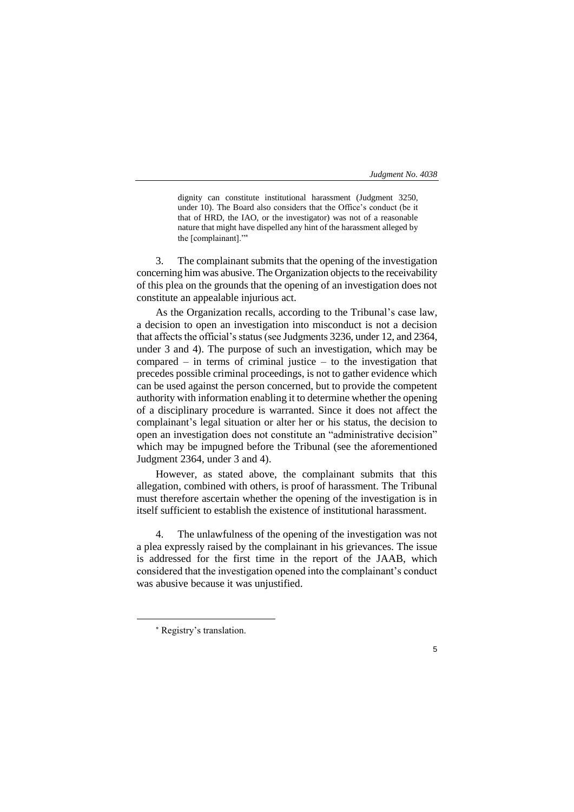dignity can constitute institutional harassment (Judgment 3250, under 10). The Board also considers that the Office's conduct (be it that of HRD, the IAO, or the investigator) was not of a reasonable nature that might have dispelled any hint of the harassment alleged by the [complainant]."

3. The complainant submits that the opening of the investigation concerning him was abusive. The Organization objects to the receivability of this plea on the grounds that the opening of an investigation does not constitute an appealable injurious act.

As the Organization recalls, according to the Tribunal's case law, a decision to open an investigation into misconduct is not a decision that affects the official's status (see Judgments 3236, under 12, and 2364, under 3 and 4). The purpose of such an investigation, which may be compared – in terms of criminal justice – to the investigation that precedes possible criminal proceedings, is not to gather evidence which can be used against the person concerned, but to provide the competent authority with information enabling it to determine whether the opening of a disciplinary procedure is warranted. Since it does not affect the complainant's legal situation or alter her or his status, the decision to open an investigation does not constitute an "administrative decision" which may be impugned before the Tribunal (see the aforementioned Judgment 2364, under 3 and 4).

However, as stated above, the complainant submits that this allegation, combined with others, is proof of harassment. The Tribunal must therefore ascertain whether the opening of the investigation is in itself sufficient to establish the existence of institutional harassment.

4. The unlawfulness of the opening of the investigation was not a plea expressly raised by the complainant in his grievances. The issue is addressed for the first time in the report of the JAAB, which considered that the investigation opened into the complainant's conduct was abusive because it was unjustified.

-



Registry's translation.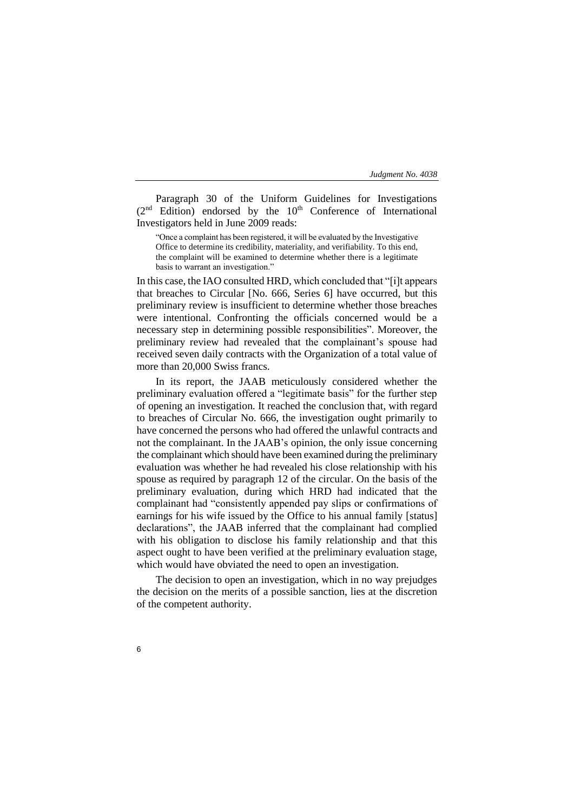Paragraph 30 of the Uniform Guidelines for Investigations  $(2<sup>nd</sup> Edition)$  endorsed by the  $10<sup>th</sup>$  Conference of International Investigators held in June 2009 reads:

"Once a complaint has been registered, it will be evaluated by the Investigative Office to determine its credibility, materiality, and verifiability. To this end, the complaint will be examined to determine whether there is a legitimate basis to warrant an investigation."

In this case, the IAO consulted HRD, which concluded that "[i]t appears that breaches to Circular [No. 666, Series 6] have occurred, but this preliminary review is insufficient to determine whether those breaches were intentional. Confronting the officials concerned would be a necessary step in determining possible responsibilities". Moreover, the preliminary review had revealed that the complainant's spouse had received seven daily contracts with the Organization of a total value of more than 20,000 Swiss francs.

In its report, the JAAB meticulously considered whether the preliminary evaluation offered a "legitimate basis" for the further step of opening an investigation. It reached the conclusion that, with regard to breaches of Circular No. 666, the investigation ought primarily to have concerned the persons who had offered the unlawful contracts and not the complainant. In the JAAB's opinion, the only issue concerning the complainant which should have been examined during the preliminary evaluation was whether he had revealed his close relationship with his spouse as required by paragraph 12 of the circular. On the basis of the preliminary evaluation, during which HRD had indicated that the complainant had "consistently appended pay slips or confirmations of earnings for his wife issued by the Office to his annual family [status] declarations", the JAAB inferred that the complainant had complied with his obligation to disclose his family relationship and that this aspect ought to have been verified at the preliminary evaluation stage, which would have obviated the need to open an investigation.

The decision to open an investigation, which in no way prejudges the decision on the merits of a possible sanction, lies at the discretion of the competent authority.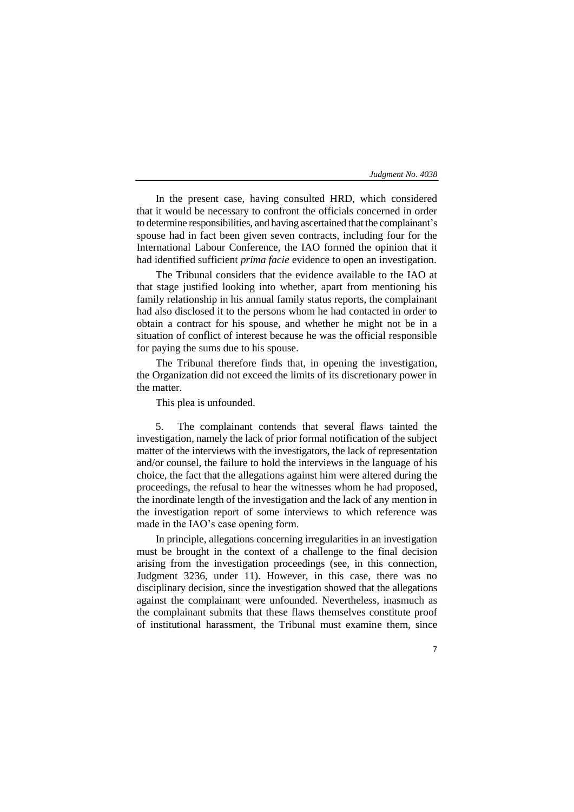In the present case, having consulted HRD, which considered that it would be necessary to confront the officials concerned in order to determine responsibilities, and having ascertained that the complainant's spouse had in fact been given seven contracts, including four for the International Labour Conference, the IAO formed the opinion that it had identified sufficient *prima facie* evidence to open an investigation.

The Tribunal considers that the evidence available to the IAO at that stage justified looking into whether, apart from mentioning his family relationship in his annual family status reports, the complainant had also disclosed it to the persons whom he had contacted in order to obtain a contract for his spouse, and whether he might not be in a situation of conflict of interest because he was the official responsible for paying the sums due to his spouse.

The Tribunal therefore finds that, in opening the investigation, the Organization did not exceed the limits of its discretionary power in the matter.

This plea is unfounded.

5. The complainant contends that several flaws tainted the investigation, namely the lack of prior formal notification of the subject matter of the interviews with the investigators, the lack of representation and/or counsel, the failure to hold the interviews in the language of his choice, the fact that the allegations against him were altered during the proceedings, the refusal to hear the witnesses whom he had proposed, the inordinate length of the investigation and the lack of any mention in the investigation report of some interviews to which reference was made in the IAO's case opening form.

In principle, allegations concerning irregularities in an investigation must be brought in the context of a challenge to the final decision arising from the investigation proceedings (see, in this connection, Judgment 3236, under 11). However, in this case, there was no disciplinary decision, since the investigation showed that the allegations against the complainant were unfounded. Nevertheless, inasmuch as the complainant submits that these flaws themselves constitute proof of institutional harassment, the Tribunal must examine them, since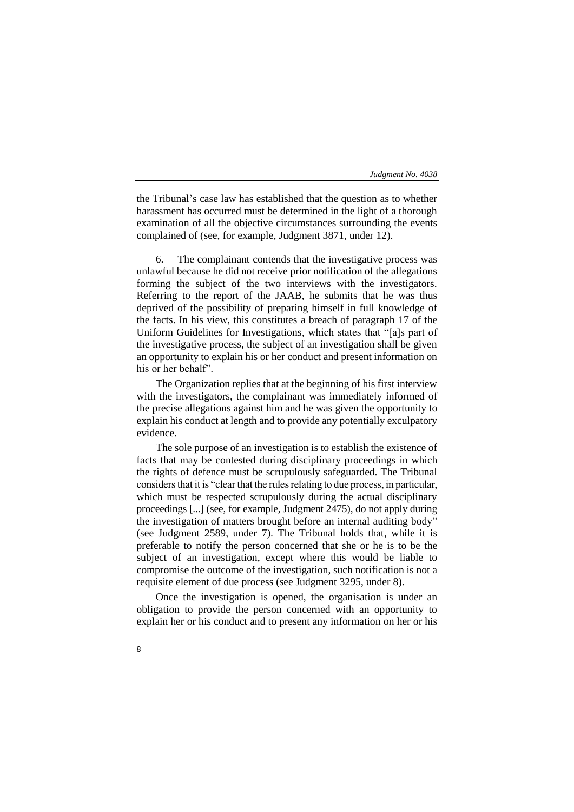the Tribunal's case law has established that the question as to whether harassment has occurred must be determined in the light of a thorough examination of all the objective circumstances surrounding the events complained of (see, for example, Judgment 3871, under 12).

6. The complainant contends that the investigative process was unlawful because he did not receive prior notification of the allegations forming the subject of the two interviews with the investigators. Referring to the report of the JAAB, he submits that he was thus deprived of the possibility of preparing himself in full knowledge of the facts. In his view, this constitutes a breach of paragraph 17 of the Uniform Guidelines for Investigations, which states that "[a]s part of the investigative process, the subject of an investigation shall be given an opportunity to explain his or her conduct and present information on his or her behalf".

The Organization replies that at the beginning of his first interview with the investigators, the complainant was immediately informed of the precise allegations against him and he was given the opportunity to explain his conduct at length and to provide any potentially exculpatory evidence.

The sole purpose of an investigation is to establish the existence of facts that may be contested during disciplinary proceedings in which the rights of defence must be scrupulously safeguarded. The Tribunal considers that it is "clear that the rules relating to due process, in particular, which must be respected scrupulously during the actual disciplinary proceedings [...] (see, for example, Judgment 2475), do not apply during the investigation of matters brought before an internal auditing body" (see Judgment 2589, under 7). The Tribunal holds that, while it is preferable to notify the person concerned that she or he is to be the subject of an investigation, except where this would be liable to compromise the outcome of the investigation, such notification is not a requisite element of due process (see Judgment 3295, under 8).

Once the investigation is opened, the organisation is under an obligation to provide the person concerned with an opportunity to explain her or his conduct and to present any information on her or his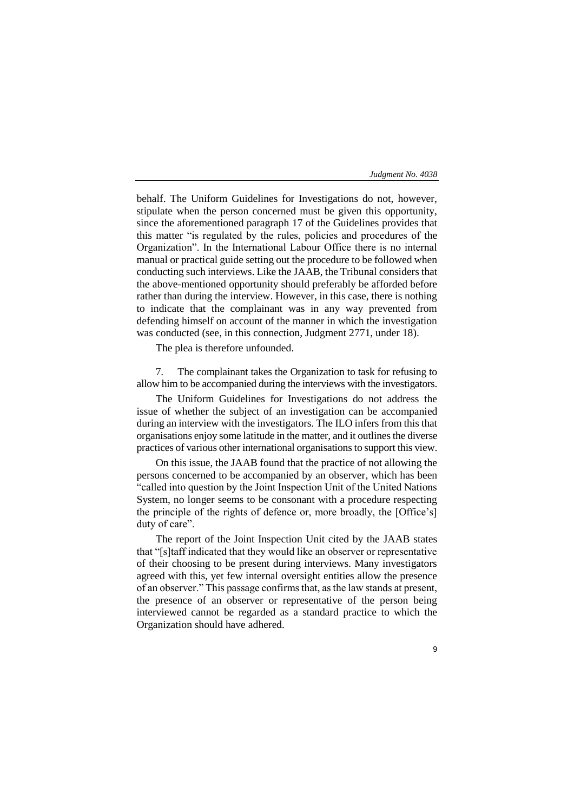9

behalf. The Uniform Guidelines for Investigations do not, however, stipulate when the person concerned must be given this opportunity, since the aforementioned paragraph 17 of the Guidelines provides that this matter "is regulated by the rules, policies and procedures of the Organization". In the International Labour Office there is no internal manual or practical guide setting out the procedure to be followed when conducting such interviews. Like the JAAB, the Tribunal considers that the above-mentioned opportunity should preferably be afforded before rather than during the interview. However, in this case, there is nothing to indicate that the complainant was in any way prevented from defending himself on account of the manner in which the investigation was conducted (see, in this connection, Judgment 2771, under 18).

The plea is therefore unfounded.

7. The complainant takes the Organization to task for refusing to allow him to be accompanied during the interviews with the investigators.

The Uniform Guidelines for Investigations do not address the issue of whether the subject of an investigation can be accompanied during an interview with the investigators. The ILO infers from this that organisations enjoy some latitude in the matter, and it outlines the diverse practices of various other international organisationsto support this view.

On this issue, the JAAB found that the practice of not allowing the persons concerned to be accompanied by an observer, which has been "called into question by the Joint Inspection Unit of the United Nations System, no longer seems to be consonant with a procedure respecting the principle of the rights of defence or, more broadly, the [Office's] duty of care".

The report of the Joint Inspection Unit cited by the JAAB states that "[s]taff indicated that they would like an observer or representative of their choosing to be present during interviews. Many investigators agreed with this, yet few internal oversight entities allow the presence of an observer." This passage confirms that, as the law stands at present, the presence of an observer or representative of the person being interviewed cannot be regarded as a standard practice to which the Organization should have adhered.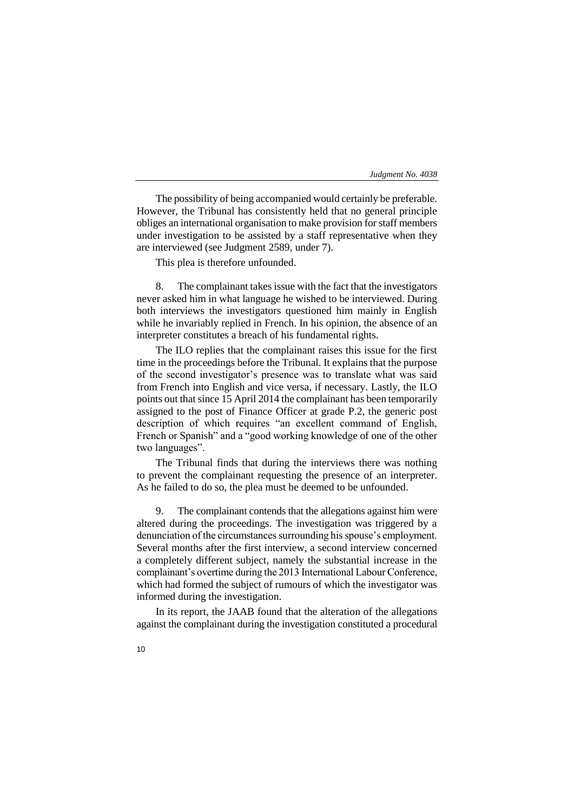The possibility of being accompanied would certainly be preferable. However, the Tribunal has consistently held that no general principle obliges an international organisation to make provision for staff members under investigation to be assisted by a staff representative when they are interviewed (see Judgment 2589, under 7).

This plea is therefore unfounded.

8. The complainant takes issue with the fact that the investigators never asked him in what language he wished to be interviewed. During both interviews the investigators questioned him mainly in English while he invariably replied in French. In his opinion, the absence of an interpreter constitutes a breach of his fundamental rights.

The ILO replies that the complainant raises this issue for the first time in the proceedings before the Tribunal. It explains that the purpose of the second investigator's presence was to translate what was said from French into English and vice versa, if necessary. Lastly, the ILO points out that since 15 April 2014 the complainant has been temporarily assigned to the post of Finance Officer at grade P.2, the generic post description of which requires "an excellent command of English, French or Spanish" and a "good working knowledge of one of the other two languages".

The Tribunal finds that during the interviews there was nothing to prevent the complainant requesting the presence of an interpreter. As he failed to do so, the plea must be deemed to be unfounded.

9. The complainant contends that the allegations against him were altered during the proceedings. The investigation was triggered by a denunciation of the circumstances surrounding his spouse's employment. Several months after the first interview, a second interview concerned a completely different subject, namely the substantial increase in the complainant's overtime during the 2013 International Labour Conference, which had formed the subject of rumours of which the investigator was informed during the investigation.

In its report, the JAAB found that the alteration of the allegations against the complainant during the investigation constituted a procedural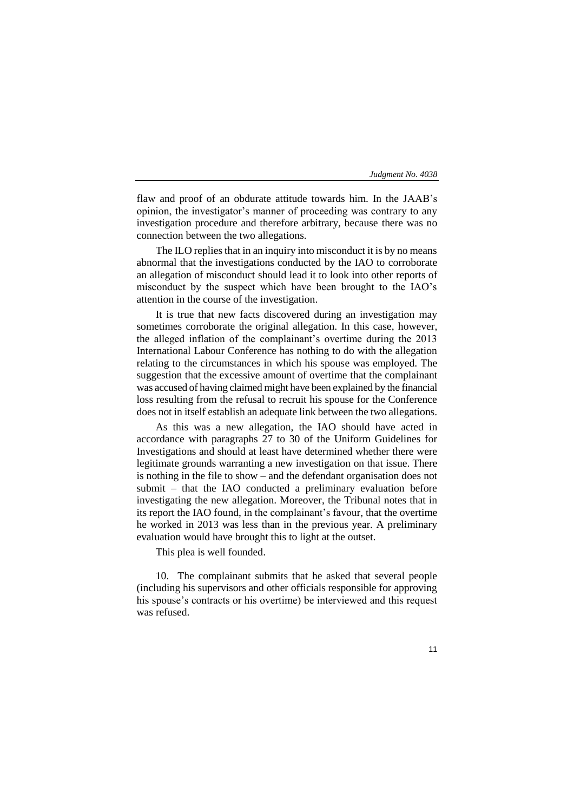flaw and proof of an obdurate attitude towards him. In the JAAB's opinion, the investigator's manner of proceeding was contrary to any investigation procedure and therefore arbitrary, because there was no connection between the two allegations.

The ILO replies that in an inquiry into misconduct it is by no means abnormal that the investigations conducted by the IAO to corroborate an allegation of misconduct should lead it to look into other reports of misconduct by the suspect which have been brought to the IAO's attention in the course of the investigation.

It is true that new facts discovered during an investigation may sometimes corroborate the original allegation. In this case, however, the alleged inflation of the complainant's overtime during the 2013 International Labour Conference has nothing to do with the allegation relating to the circumstances in which his spouse was employed. The suggestion that the excessive amount of overtime that the complainant was accused of having claimed might have been explained by the financial loss resulting from the refusal to recruit his spouse for the Conference does not in itself establish an adequate link between the two allegations.

As this was a new allegation, the IAO should have acted in accordance with paragraphs 27 to 30 of the Uniform Guidelines for Investigations and should at least have determined whether there were legitimate grounds warranting a new investigation on that issue. There is nothing in the file to show – and the defendant organisation does not submit – that the IAO conducted a preliminary evaluation before investigating the new allegation. Moreover, the Tribunal notes that in its report the IAO found, in the complainant's favour, that the overtime he worked in 2013 was less than in the previous year. A preliminary evaluation would have brought this to light at the outset.

This plea is well founded.

10. The complainant submits that he asked that several people (including his supervisors and other officials responsible for approving his spouse's contracts or his overtime) be interviewed and this request was refused.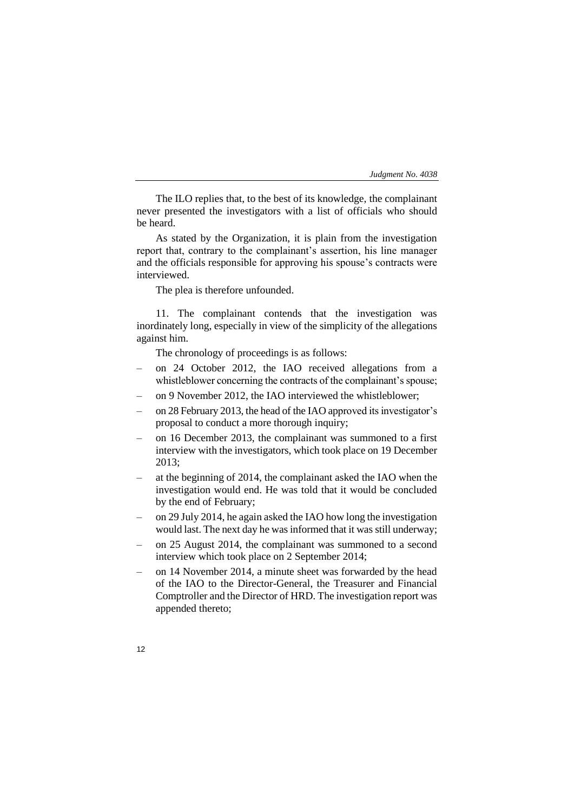The ILO replies that, to the best of its knowledge, the complainant never presented the investigators with a list of officials who should be heard.

As stated by the Organization, it is plain from the investigation report that, contrary to the complainant's assertion, his line manager and the officials responsible for approving his spouse's contracts were interviewed.

The plea is therefore unfounded.

11. The complainant contends that the investigation was inordinately long, especially in view of the simplicity of the allegations against him.

The chronology of proceedings is as follows:

- on 24 October 2012, the IAO received allegations from a whistleblower concerning the contracts of the complainant's spouse;
- on 9 November 2012, the IAO interviewed the whistleblower;
- on 28 February 2013, the head of the IAO approved its investigator's proposal to conduct a more thorough inquiry;
- on 16 December 2013, the complainant was summoned to a first interview with the investigators, which took place on 19 December 2013;
- at the beginning of 2014, the complainant asked the IAO when the investigation would end. He was told that it would be concluded by the end of February;
- on 29 July 2014, he again asked the IAO how long the investigation would last. The next day he was informed that it was still underway;
- on 25 August 2014, the complainant was summoned to a second interview which took place on 2 September 2014;
- on 14 November 2014, a minute sheet was forwarded by the head of the IAO to the Director-General, the Treasurer and Financial Comptroller and the Director of HRD. The investigation report was appended thereto;
- 12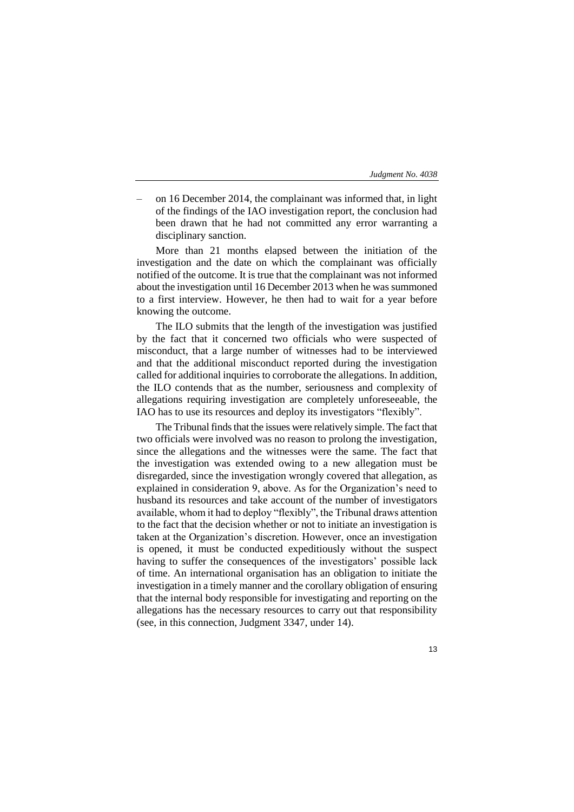| Judgment No. 4038 |
|-------------------|
|-------------------|

– on 16 December 2014, the complainant was informed that, in light of the findings of the IAO investigation report, the conclusion had been drawn that he had not committed any error warranting a disciplinary sanction.

More than 21 months elapsed between the initiation of the investigation and the date on which the complainant was officially notified of the outcome. It is true that the complainant was not informed about the investigation until 16 December 2013 when he was summoned to a first interview. However, he then had to wait for a year before knowing the outcome.

The ILO submits that the length of the investigation was justified by the fact that it concerned two officials who were suspected of misconduct, that a large number of witnesses had to be interviewed and that the additional misconduct reported during the investigation called for additional inquiries to corroborate the allegations. In addition, the ILO contends that as the number, seriousness and complexity of allegations requiring investigation are completely unforeseeable, the IAO has to use its resources and deploy its investigators "flexibly".

The Tribunal finds that the issues were relatively simple. The fact that two officials were involved was no reason to prolong the investigation, since the allegations and the witnesses were the same. The fact that the investigation was extended owing to a new allegation must be disregarded, since the investigation wrongly covered that allegation, as explained in consideration 9, above. As for the Organization's need to husband its resources and take account of the number of investigators available, whom it had to deploy "flexibly", the Tribunal draws attention to the fact that the decision whether or not to initiate an investigation is taken at the Organization's discretion. However, once an investigation is opened, it must be conducted expeditiously without the suspect having to suffer the consequences of the investigators' possible lack of time. An international organisation has an obligation to initiate the investigation in a timely manner and the corollary obligation of ensuring that the internal body responsible for investigating and reporting on the allegations has the necessary resources to carry out that responsibility (see, in this connection, Judgment 3347, under 14).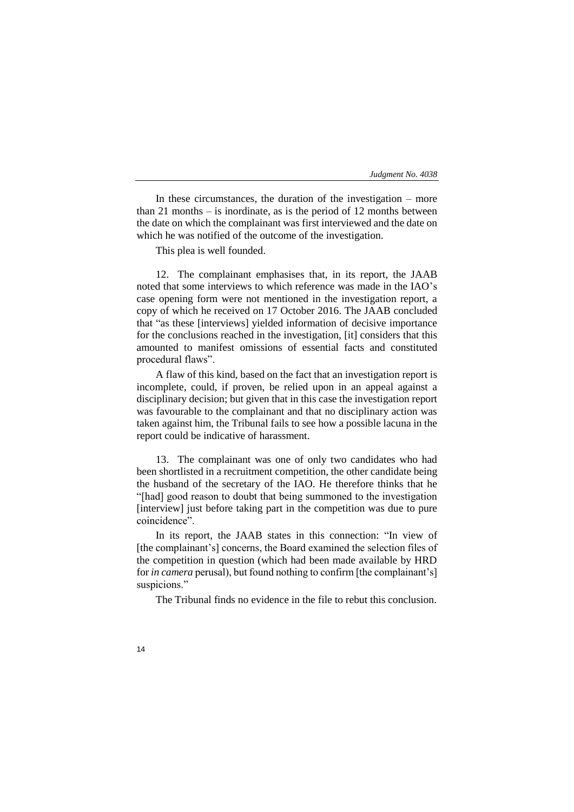In these circumstances, the duration of the investigation – more than 21 months – is inordinate, as is the period of 12 months between the date on which the complainant was first interviewed and the date on which he was notified of the outcome of the investigation.

This plea is well founded.

12. The complainant emphasises that, in its report, the JAAB noted that some interviews to which reference was made in the IAO's case opening form were not mentioned in the investigation report, a copy of which he received on 17 October 2016. The JAAB concluded that "as these [interviews] yielded information of decisive importance for the conclusions reached in the investigation, [it] considers that this amounted to manifest omissions of essential facts and constituted procedural flaws".

A flaw of this kind, based on the fact that an investigation report is incomplete, could, if proven, be relied upon in an appeal against a disciplinary decision; but given that in this case the investigation report was favourable to the complainant and that no disciplinary action was taken against him, the Tribunal fails to see how a possible lacuna in the report could be indicative of harassment.

13. The complainant was one of only two candidates who had been shortlisted in a recruitment competition, the other candidate being the husband of the secretary of the IAO. He therefore thinks that he "[had] good reason to doubt that being summoned to the investigation [interview] just before taking part in the competition was due to pure coincidence".

In its report, the JAAB states in this connection: "In view of [the complainant's] concerns, the Board examined the selection files of the competition in question (which had been made available by HRD for *in camera* perusal), but found nothing to confirm [the complainant's] suspicions."

The Tribunal finds no evidence in the file to rebut this conclusion.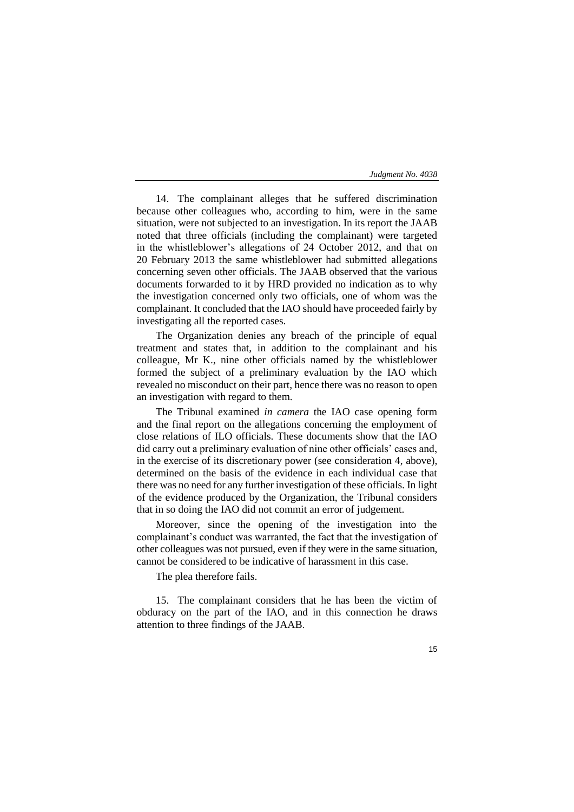14. The complainant alleges that he suffered discrimination because other colleagues who, according to him, were in the same situation, were not subjected to an investigation. In its report the JAAB noted that three officials (including the complainant) were targeted in the whistleblower's allegations of 24 October 2012, and that on 20 February 2013 the same whistleblower had submitted allegations concerning seven other officials. The JAAB observed that the various documents forwarded to it by HRD provided no indication as to why the investigation concerned only two officials, one of whom was the complainant. It concluded that the IAO should have proceeded fairly by investigating all the reported cases.

The Organization denies any breach of the principle of equal treatment and states that, in addition to the complainant and his colleague, Mr K., nine other officials named by the whistleblower formed the subject of a preliminary evaluation by the IAO which revealed no misconduct on their part, hence there was no reason to open an investigation with regard to them.

The Tribunal examined *in camera* the IAO case opening form and the final report on the allegations concerning the employment of close relations of ILO officials. These documents show that the IAO did carry out a preliminary evaluation of nine other officials' cases and, in the exercise of its discretionary power (see consideration 4, above), determined on the basis of the evidence in each individual case that there was no need for any further investigation of these officials. In light of the evidence produced by the Organization, the Tribunal considers that in so doing the IAO did not commit an error of judgement.

Moreover, since the opening of the investigation into the complainant's conduct was warranted, the fact that the investigation of other colleagues was not pursued, even if they were in the same situation, cannot be considered to be indicative of harassment in this case.

The plea therefore fails.

15. The complainant considers that he has been the victim of obduracy on the part of the IAO, and in this connection he draws attention to three findings of the JAAB.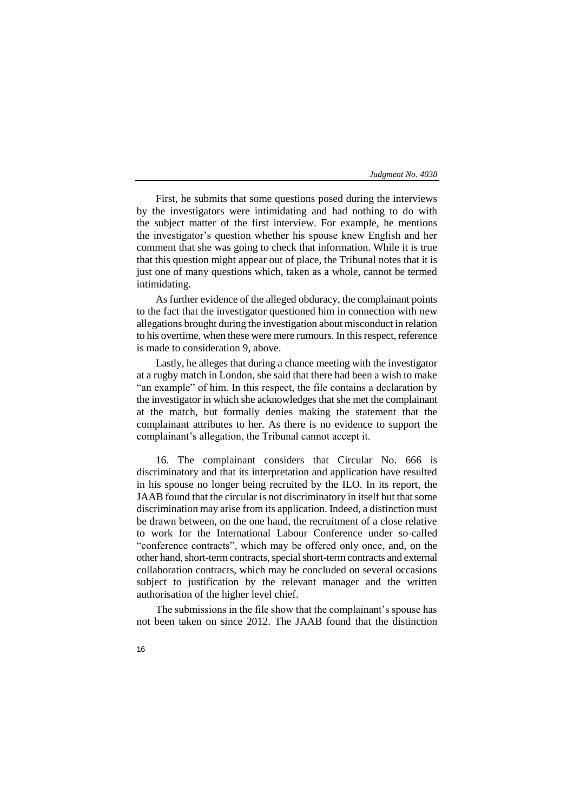First, he submits that some questions posed during the interviews by the investigators were intimidating and had nothing to do with the subject matter of the first interview. For example, he mentions the investigator's question whether his spouse knew English and her comment that she was going to check that information. While it is true that this question might appear out of place, the Tribunal notes that it is just one of many questions which, taken as a whole, cannot be termed intimidating.

As further evidence of the alleged obduracy, the complainant points to the fact that the investigator questioned him in connection with new allegations brought during the investigation about misconduct in relation to his overtime, when these were mere rumours. In this respect, reference is made to consideration 9, above.

Lastly, he alleges that during a chance meeting with the investigator at a rugby match in London, she said that there had been a wish to make "an example" of him. In this respect, the file contains a declaration by the investigator in which she acknowledges that she met the complainant at the match, but formally denies making the statement that the complainant attributes to her. As there is no evidence to support the complainant's allegation, the Tribunal cannot accept it.

16. The complainant considers that Circular No. 666 is discriminatory and that its interpretation and application have resulted in his spouse no longer being recruited by the ILO. In its report, the JAAB found that the circular is not discriminatory in itself but that some discrimination may arise from its application. Indeed, a distinction must be drawn between, on the one hand, the recruitment of a close relative to work for the International Labour Conference under so-called "conference contracts", which may be offered only once, and, on the other hand, short-term contracts, special short-term contracts and external collaboration contracts, which may be concluded on several occasions subject to justification by the relevant manager and the written authorisation of the higher level chief.

The submissions in the file show that the complainant's spouse has not been taken on since 2012. The JAAB found that the distinction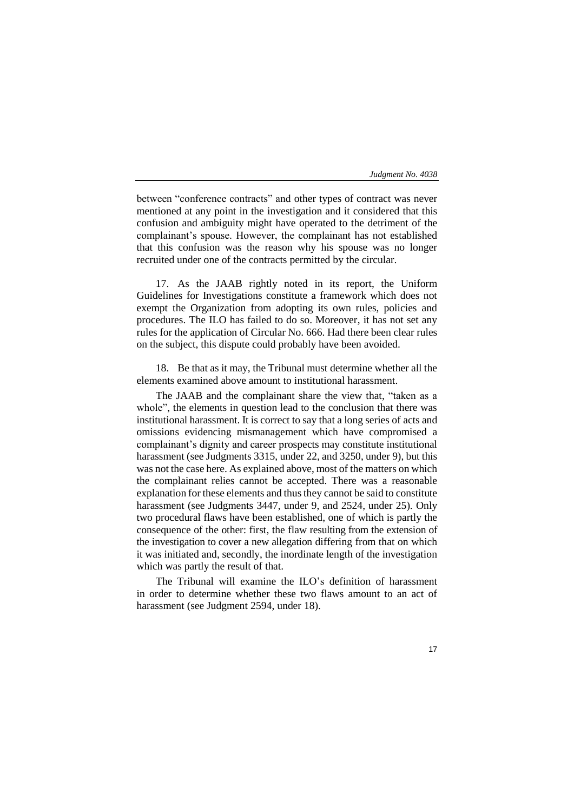between "conference contracts" and other types of contract was never mentioned at any point in the investigation and it considered that this confusion and ambiguity might have operated to the detriment of the complainant's spouse. However, the complainant has not established that this confusion was the reason why his spouse was no longer recruited under one of the contracts permitted by the circular.

17. As the JAAB rightly noted in its report, the Uniform Guidelines for Investigations constitute a framework which does not exempt the Organization from adopting its own rules, policies and procedures. The ILO has failed to do so. Moreover, it has not set any rules for the application of Circular No. 666. Had there been clear rules on the subject, this dispute could probably have been avoided.

18. Be that as it may, the Tribunal must determine whether all the elements examined above amount to institutional harassment.

The JAAB and the complainant share the view that, "taken as a whole", the elements in question lead to the conclusion that there was institutional harassment. It is correct to say that a long series of acts and omissions evidencing mismanagement which have compromised a complainant's dignity and career prospects may constitute institutional harassment (see Judgments 3315, under 22, and 3250, under 9), but this was not the case here. As explained above, most of the matters on which the complainant relies cannot be accepted. There was a reasonable explanation for these elements and thus they cannot be said to constitute harassment (see Judgments 3447, under 9, and 2524, under 25). Only two procedural flaws have been established, one of which is partly the consequence of the other: first, the flaw resulting from the extension of the investigation to cover a new allegation differing from that on which it was initiated and, secondly, the inordinate length of the investigation which was partly the result of that.

The Tribunal will examine the ILO's definition of harassment in order to determine whether these two flaws amount to an act of harassment (see Judgment 2594, under 18).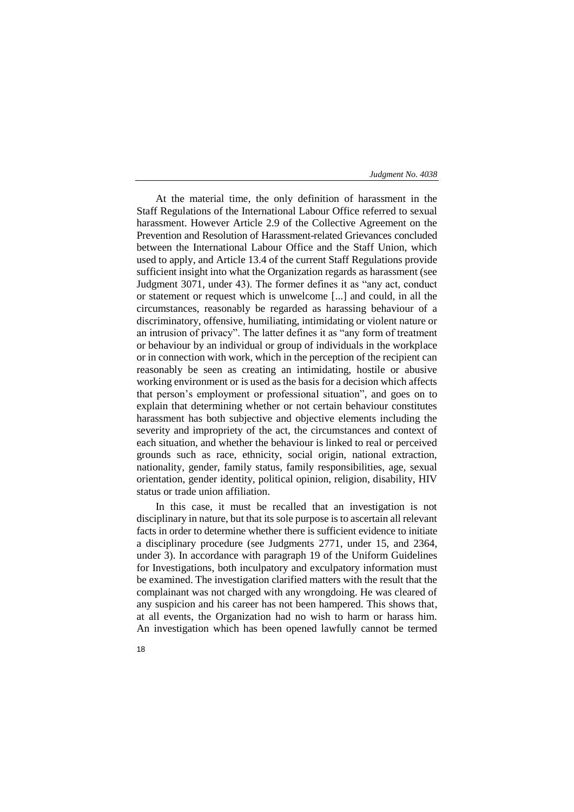At the material time, the only definition of harassment in the Staff Regulations of the International Labour Office referred to sexual harassment. However Article 2.9 of the Collective Agreement on the Prevention and Resolution of Harassment-related Grievances concluded between the International Labour Office and the Staff Union, which used to apply, and Article 13.4 of the current Staff Regulations provide sufficient insight into what the Organization regards as harassment (see Judgment 3071, under 43). The former defines it as "any act, conduct or statement or request which is unwelcome [...] and could, in all the circumstances, reasonably be regarded as harassing behaviour of a discriminatory, offensive, humiliating, intimidating or violent nature or an intrusion of privacy". The latter defines it as "any form of treatment or behaviour by an individual or group of individuals in the workplace or in connection with work, which in the perception of the recipient can reasonably be seen as creating an intimidating, hostile or abusive working environment or is used as the basis for a decision which affects that person's employment or professional situation", and goes on to explain that determining whether or not certain behaviour constitutes harassment has both subjective and objective elements including the severity and impropriety of the act, the circumstances and context of each situation, and whether the behaviour is linked to real or perceived grounds such as race, ethnicity, social origin, national extraction, nationality, gender, family status, family responsibilities, age, sexual orientation, gender identity, political opinion, religion, disability, HIV status or trade union affiliation.

In this case, it must be recalled that an investigation is not disciplinary in nature, but that its sole purpose is to ascertain all relevant facts in order to determine whether there is sufficient evidence to initiate a disciplinary procedure (see Judgments 2771, under 15, and 2364, under 3). In accordance with paragraph 19 of the Uniform Guidelines for Investigations, both inculpatory and exculpatory information must be examined. The investigation clarified matters with the result that the complainant was not charged with any wrongdoing. He was cleared of any suspicion and his career has not been hampered. This shows that, at all events, the Organization had no wish to harm or harass him. An investigation which has been opened lawfully cannot be termed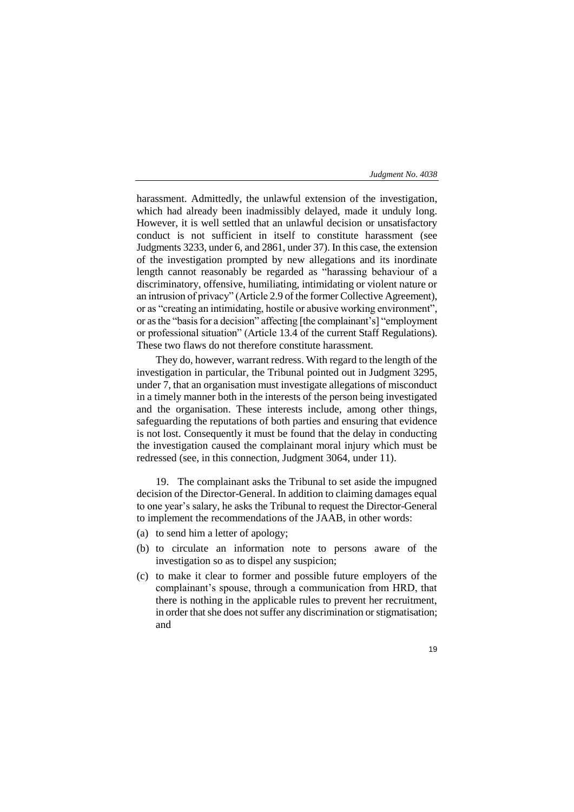| Judgment No. 4038 |  |  |  |  |
|-------------------|--|--|--|--|
|-------------------|--|--|--|--|

harassment. Admittedly, the unlawful extension of the investigation, which had already been inadmissibly delayed, made it unduly long. However, it is well settled that an unlawful decision or unsatisfactory conduct is not sufficient in itself to constitute harassment (see Judgments 3233, under 6, and 2861, under 37). In this case, the extension of the investigation prompted by new allegations and its inordinate length cannot reasonably be regarded as "harassing behaviour of a discriminatory, offensive, humiliating, intimidating or violent nature or an intrusion of privacy" (Article 2.9 of the former Collective Agreement), or as "creating an intimidating, hostile or abusive working environment", or as the "basis for a decision" affecting [the complainant's] "employment or professional situation" (Article 13.4 of the current Staff Regulations). These two flaws do not therefore constitute harassment.

They do, however, warrant redress. With regard to the length of the investigation in particular, the Tribunal pointed out in Judgment 3295, under 7, that an organisation must investigate allegations of misconduct in a timely manner both in the interests of the person being investigated and the organisation. These interests include, among other things, safeguarding the reputations of both parties and ensuring that evidence is not lost. Consequently it must be found that the delay in conducting the investigation caused the complainant moral injury which must be redressed (see, in this connection, Judgment 3064, under 11).

19. The complainant asks the Tribunal to set aside the impugned decision of the Director-General. In addition to claiming damages equal to one year's salary, he asks the Tribunal to request the Director-General to implement the recommendations of the JAAB, in other words:

- (a) to send him a letter of apology;
- (b) to circulate an information note to persons aware of the investigation so as to dispel any suspicion;
- (c) to make it clear to former and possible future employers of the complainant's spouse, through a communication from HRD, that there is nothing in the applicable rules to prevent her recruitment, in order that she does not suffer any discrimination or stigmatisation; and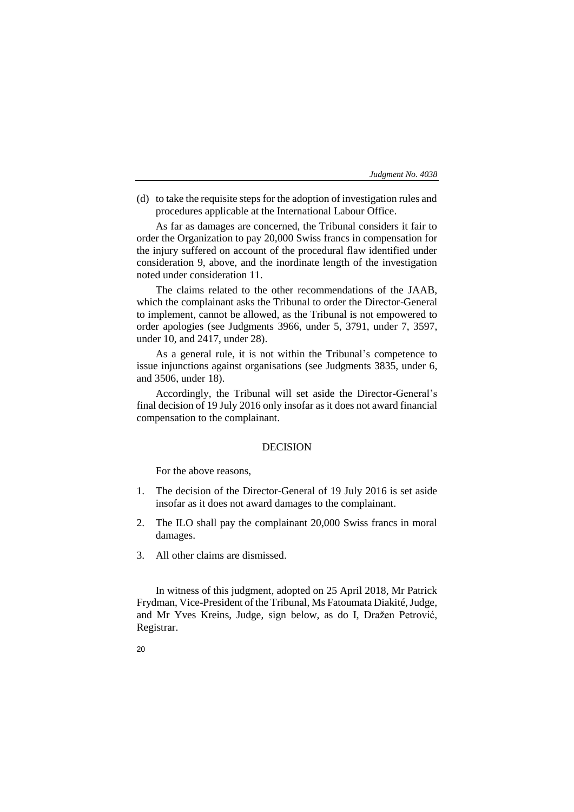(d) to take the requisite steps for the adoption of investigation rules and procedures applicable at the International Labour Office.

As far as damages are concerned, the Tribunal considers it fair to order the Organization to pay 20,000 Swiss francs in compensation for the injury suffered on account of the procedural flaw identified under consideration 9, above, and the inordinate length of the investigation noted under consideration 11.

The claims related to the other recommendations of the JAAB, which the complainant asks the Tribunal to order the Director-General to implement, cannot be allowed, as the Tribunal is not empowered to order apologies (see Judgments 3966, under 5, 3791, under 7, 3597, under 10, and 2417, under 28).

As a general rule, it is not within the Tribunal's competence to issue injunctions against organisations (see Judgments 3835, under 6, and 3506, under 18).

Accordingly, the Tribunal will set aside the Director-General's final decision of 19 July 2016 only insofar as it does not award financial compensation to the complainant.

# DECISION

For the above reasons,

- 1. The decision of the Director-General of 19 July 2016 is set aside insofar as it does not award damages to the complainant.
- 2. The ILO shall pay the complainant 20,000 Swiss francs in moral damages.
- 3. All other claims are dismissed.

In witness of this judgment, adopted on 25 April 2018, Mr Patrick Frydman, Vice-President of the Tribunal, Ms Fatoumata Diakité, Judge, and Mr Yves Kreins, Judge, sign below, as do I, Dražen Petrović, Registrar.